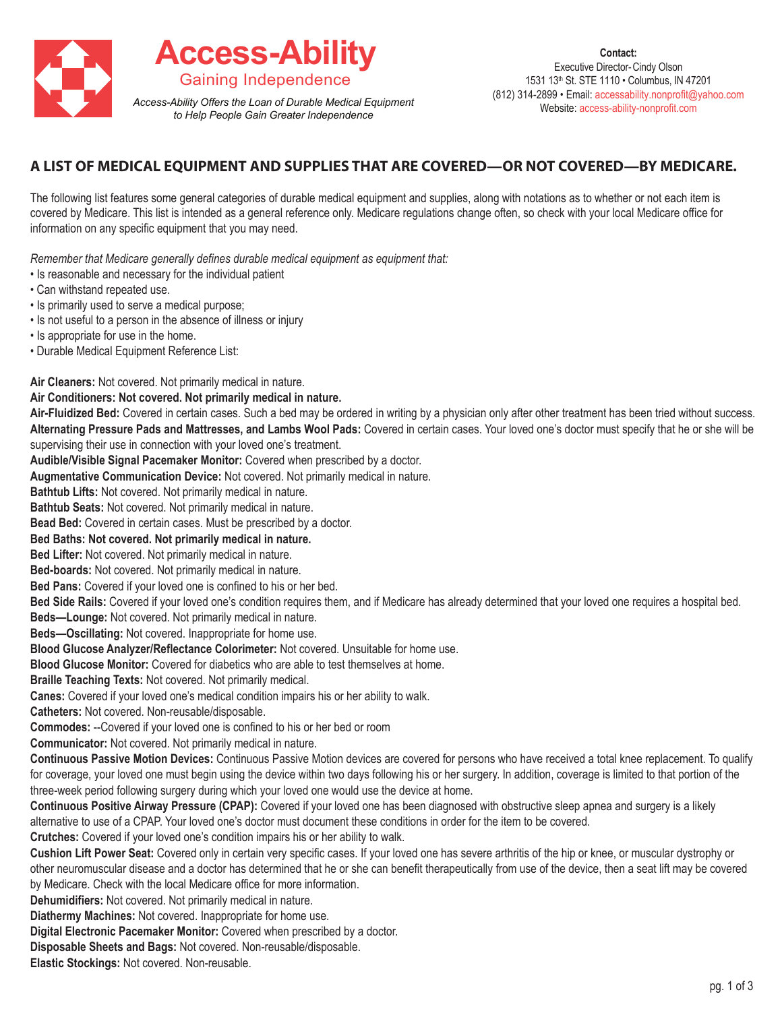

## **A LIST OF MEDICAL EQUIPMENT AND SUPPLIES THAT ARE COVERED—OR NOT COVERED—BY MEDICARE.**

The following list features some general categories of durable medical equipment and supplies, along with notations as to whether or not each item is covered by Medicare. This list is intended as a general reference only. Medicare regulations change often, so check with your local Medicare office for information on any specific equipment that you may need.

*Remember that Medicare generally defines durable medical equipment as equipment that:*

- Is reasonable and necessary for the individual patient
- Can withstand repeated use.
- Is primarily used to serve a medical purpose;
- Is not useful to a person in the absence of illness or injury
- Is appropriate for use in the home.
- Durable Medical Equipment Reference List:

**Air Cleaners:** Not covered. Not primarily medical in nature.

## **Air Conditioners: Not covered. Not primarily medical in nature.**

Air-Fluidized Bed: Covered in certain cases. Such a bed may be ordered in writing by a physician only after other treatment has been tried without success. **Alternating Pressure Pads and Mattresses, and Lambs Wool Pads:** Covered in certain cases. Your loved one's doctor must specify that he or she will be supervising their use in connection with your loved one's treatment.

**Audible/Visible Signal Pacemaker Monitor:** Covered when prescribed by a doctor.

**Augmentative Communication Device:** Not covered. Not primarily medical in nature.

**Bathtub Lifts:** Not covered. Not primarily medical in nature.

**Bathtub Seats:** Not covered. Not primarily medical in nature.

**Bead Bed:** Covered in certain cases. Must be prescribed by a doctor.

**Bed Baths: Not covered. Not primarily medical in nature.**

**Bed Lifter:** Not covered. Not primarily medical in nature.

**Bed-boards:** Not covered. Not primarily medical in nature.

**Bed Pans:** Covered if your loved one is confined to his or her bed.

**Bed Side Rails:** Covered if your loved one's condition requires them, and if Medicare has already determined that your loved one requires a hospital bed.

**Beds—Lounge:** Not covered. Not primarily medical in nature.

**Beds—Oscillating:** Not covered. Inappropriate for home use.

**Blood Glucose Analyzer/Reflectance Colorimeter:** Not covered. Unsuitable for home use.

**Blood Glucose Monitor:** Covered for diabetics who are able to test themselves at home.

**Braille Teaching Texts:** Not covered. Not primarily medical.

**Canes:** Covered if your loved one's medical condition impairs his or her ability to walk.

**Catheters:** Not covered. Non-reusable/disposable.

**Commodes:** --Covered if your loved one is confined to his or her bed or room

**Communicator:** Not covered. Not primarily medical in nature.

**Continuous Passive Motion Devices:** Continuous Passive Motion devices are covered for persons who have received a total knee replacement. To qualify for coverage, your loved one must begin using the device within two days following his or her surgery. In addition, coverage is limited to that portion of the three-week period following surgery during which your loved one would use the device at home.

**Continuous Positive Airway Pressure (CPAP):** Covered if your loved one has been diagnosed with obstructive sleep apnea and surgery is a likely alternative to use of a CPAP. Your loved one's doctor must document these conditions in order for the item to be covered.

**Crutches:** Covered if your loved one's condition impairs his or her ability to walk.

**Cushion Lift Power Seat:** Covered only in certain very specific cases. If your loved one has severe arthritis of the hip or knee, or muscular dystrophy or other neuromuscular disease and a doctor has determined that he or she can benefit therapeutically from use of the device, then a seat lift may be covered by Medicare. Check with the local Medicare office for more information.

**Dehumidifiers:** Not covered. Not primarily medical in nature.

**Diathermy Machines:** Not covered. Inappropriate for home use.

**Digital Electronic Pacemaker Monitor:** Covered when prescribed by a doctor.

**Disposable Sheets and Bags:** Not covered. Non-reusable/disposable.

**Elastic Stockings:** Not covered. Non-reusable.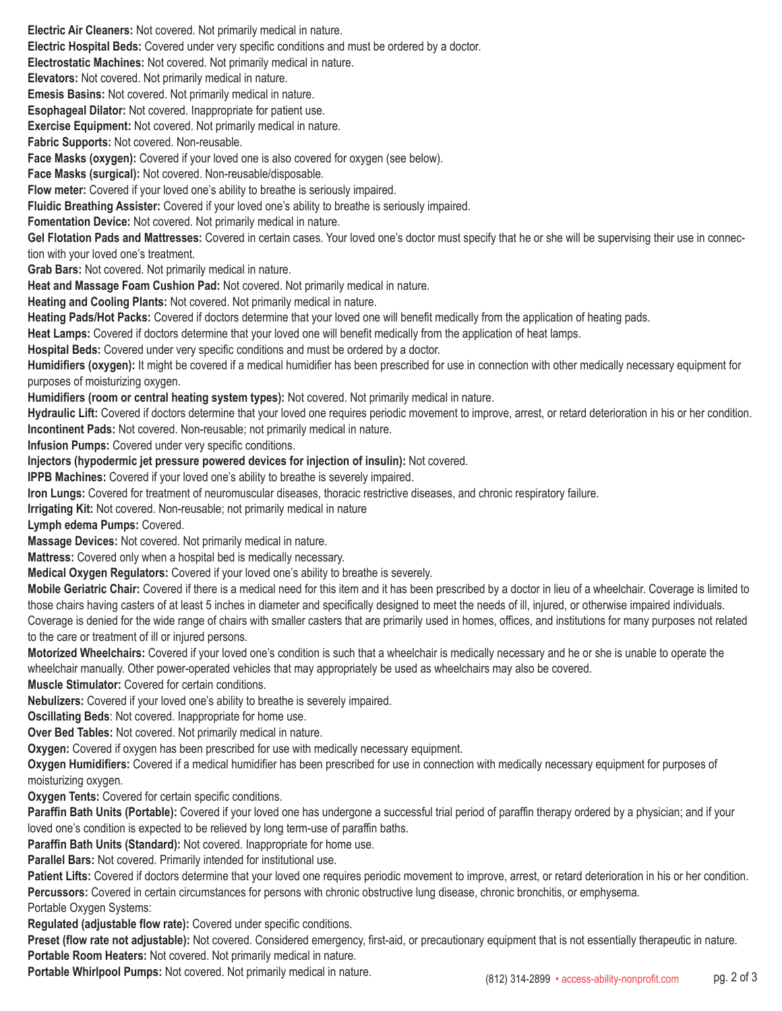**Electric Air Cleaners:** Not covered. Not primarily medical in nature. **Electric Hospital Beds:** Covered under very specific conditions and must be ordered by a doctor. **Electrostatic Machines:** Not covered. Not primarily medical in nature. **Elevators:** Not covered. Not primarily medical in nature. **Emesis Basins:** Not covered. Not primarily medical in nature. **Esophageal Dilator:** Not covered. Inappropriate for patient use. **Exercise Equipment:** Not covered. Not primarily medical in nature. **Fabric Supports:** Not covered. Non-reusable. **Face Masks (oxygen):** Covered if your loved one is also covered for oxygen (see below). **Face Masks (surgical):** Not covered. Non-reusable/disposable. **Flow meter:** Covered if your loved one's ability to breathe is seriously impaired. **Fluidic Breathing Assister:** Covered if your loved one's ability to breathe is seriously impaired. **Fomentation Device:** Not covered. Not primarily medical in nature. **Gel Flotation Pads and Mattresses:** Covered in certain cases. Your loved one's doctor must specify that he or she will be supervising their use in connection with your loved one's treatment. **Grab Bars:** Not covered. Not primarily medical in nature. **Heat and Massage Foam Cushion Pad:** Not covered. Not primarily medical in nature. **Heating and Cooling Plants:** Not covered. Not primarily medical in nature. **Heating Pads/Hot Packs:** Covered if doctors determine that your loved one will benefit medically from the application of heating pads. **Heat Lamps:** Covered if doctors determine that your loved one will benefit medically from the application of heat lamps. **Hospital Beds:** Covered under very specific conditions and must be ordered by a doctor. **Humidifiers (oxygen):** It might be covered if a medical humidifier has been prescribed for use in connection with other medically necessary equipment for purposes of moisturizing oxygen. **Humidifiers (room or central heating system types):** Not covered. Not primarily medical in nature. **Hydraulic Lift:** Covered if doctors determine that your loved one requires periodic movement to improve, arrest, or retard deterioration in his or her condition. **Incontinent Pads:** Not covered. Non-reusable; not primarily medical in nature. **Infusion Pumps:** Covered under very specific conditions. **Injectors (hypodermic jet pressure powered devices for injection of insulin):** Not covered. **IPPB Machines:** Covered if your loved one's ability to breathe is severely impaired. **Iron Lungs:** Covered for treatment of neuromuscular diseases, thoracic restrictive diseases, and chronic respiratory failure. **Irrigating Kit:** Not covered. Non-reusable; not primarily medical in nature **Lymph edema Pumps:** Covered. **Massage Devices:** Not covered. Not primarily medical in nature. **Mattress:** Covered only when a hospital bed is medically necessary. **Medical Oxygen Regulators:** Covered if your loved one's ability to breathe is severely. **Mobile Geriatric Chair:** Covered if there is a medical need for this item and it has been prescribed by a doctor in lieu of a wheelchair. Coverage is limited to those chairs having casters of at least 5 inches in diameter and specifically designed to meet the needs of ill, injured, or otherwise impaired individuals. Coverage is denied for the wide range of chairs with smaller casters that are primarily used in homes, offices, and institutions for many purposes not related to the care or treatment of ill or injured persons. **Motorized Wheelchairs:** Covered if your loved one's condition is such that a wheelchair is medically necessary and he or she is unable to operate the wheelchair manually. Other power-operated vehicles that may appropriately be used as wheelchairs may also be covered. **Muscle Stimulator:** Covered for certain conditions. **Nebulizers:** Covered if your loved one's ability to breathe is severely impaired. **Oscillating Beds**: Not covered. Inappropriate for home use. **Over Bed Tables:** Not covered. Not primarily medical in nature. **Oxygen:** Covered if oxygen has been prescribed for use with medically necessary equipment. **Oxygen Humidifiers:** Covered if a medical humidifier has been prescribed for use in connection with medically necessary equipment for purposes of moisturizing oxygen. **Oxygen Tents:** Covered for certain specific conditions. **Paraffin Bath Units (Portable):** Covered if your loved one has undergone a successful trial period of paraffin therapy ordered by a physician; and if your loved one's condition is expected to be relieved by long term-use of paraffin baths. **Paraffin Bath Units (Standard):** Not covered. Inappropriate for home use. **Parallel Bars:** Not covered. Primarily intended for institutional use. Patient Lifts: Covered if doctors determine that your loved one requires periodic movement to improve, arrest, or retard deterioration in his or her condition. **Percussors:** Covered in certain circumstances for persons with chronic obstructive lung disease, chronic bronchitis, or emphysema. Portable Oxygen Systems: **Regulated (adjustable flow rate):** Covered under specific conditions. **Preset (flow rate not adjustable):** Not covered. Considered emergency, first-aid, or precautionary equipment that is not essentially therapeutic in nature.

**Portable Room Heaters:** Not covered. Not primarily medical in nature.

**Portable Whirlpool Pumps:** Not covered. Not primarily medical in nature. (812) 314-2899 • access-ability-nonprofit.com